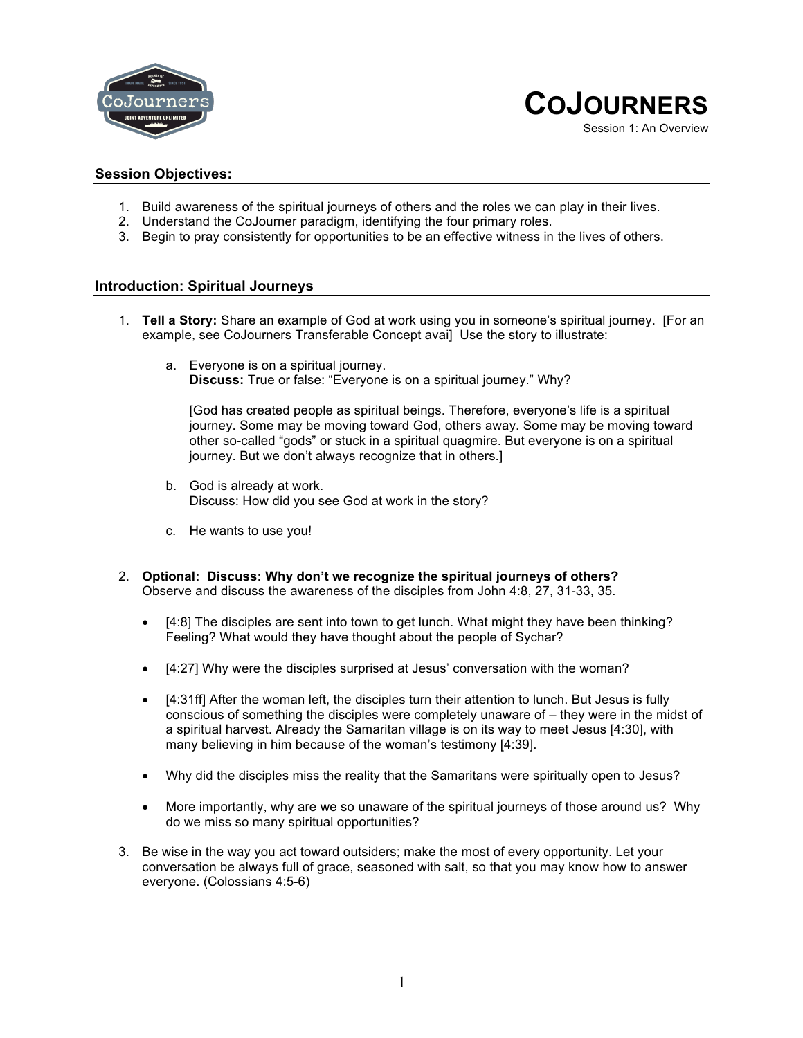



### **Session Objectives:**

- 1. Build awareness of the spiritual journeys of others and the roles we can play in their lives.
- 2. Understand the CoJourner paradigm, identifying the four primary roles.
- 3. Begin to pray consistently for opportunities to be an effective witness in the lives of others.

### **Introduction: Spiritual Journeys**

- 1. **Tell a Story:** Share an example of God at work using you in someone's spiritual journey. [For an example, see CoJourners Transferable Concept avai] Use the story to illustrate:
	- a. Everyone is on a spiritual journey. **Discuss:** True or false: "Everyone is on a spiritual journey." Why?

[God has created people as spiritual beings. Therefore, everyone's life is a spiritual journey. Some may be moving toward God, others away. Some may be moving toward other so-called "gods" or stuck in a spiritual quagmire. But everyone is on a spiritual journey. But we don't always recognize that in others.]

- b. God is already at work. Discuss: How did you see God at work in the story?
- c. He wants to use you!
- 2. **Optional: Discuss: Why don't we recognize the spiritual journeys of others?**  Observe and discuss the awareness of the disciples from John 4:8, 27, 31-33, 35.
	- [4:8] The disciples are sent into town to get lunch. What might they have been thinking? Feeling? What would they have thought about the people of Sychar?
	- [4:27] Why were the disciples surprised at Jesus' conversation with the woman?
	- [4:31ff] After the woman left, the disciples turn their attention to lunch. But Jesus is fully conscious of something the disciples were completely unaware of – they were in the midst of a spiritual harvest. Already the Samaritan village is on its way to meet Jesus [4:30], with many believing in him because of the woman's testimony [4:39].
	- Why did the disciples miss the reality that the Samaritans were spiritually open to Jesus?
	- More importantly, why are we so unaware of the spiritual journeys of those around us? Why do we miss so many spiritual opportunities?
- 3. Be wise in the way you act toward outsiders; make the most of every opportunity. Let your conversation be always full of grace, seasoned with salt, so that you may know how to answer everyone. (Colossians 4:5-6)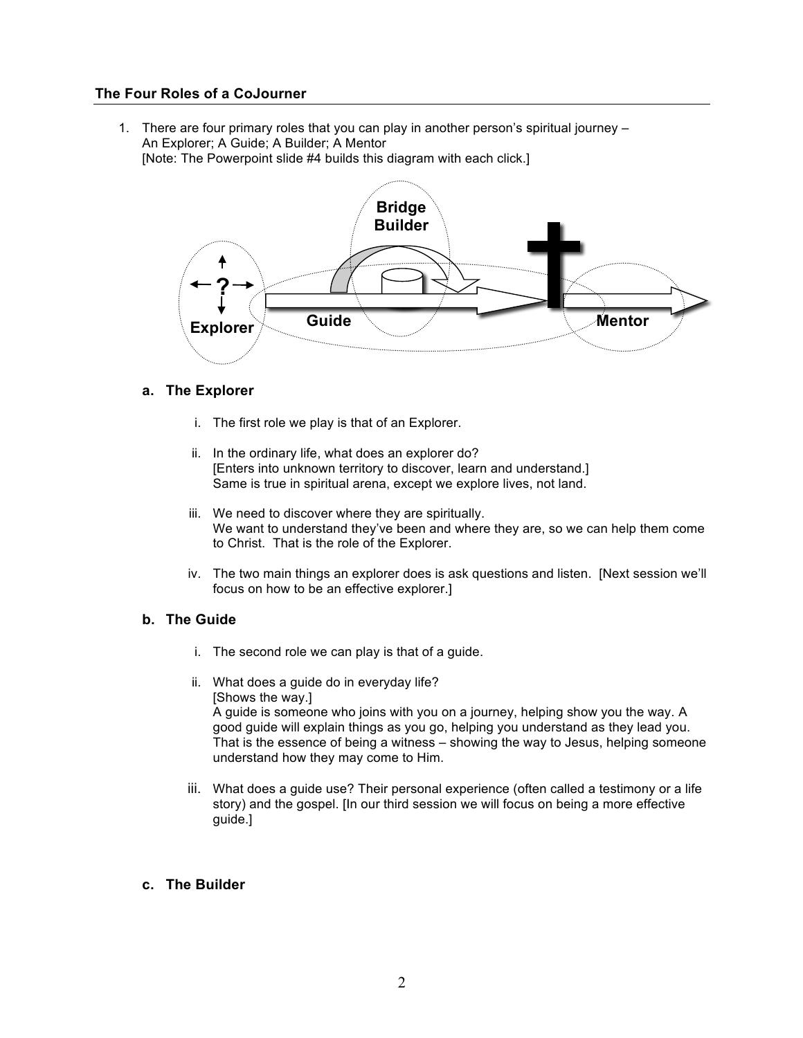# **The Four Roles of a CoJourner**

1. There are four primary roles that you can play in another person's spiritual journey – An Explorer; A Guide; A Builder; A Mentor

[Note: The Powerpoint slide #4 builds this diagram with each click.]



### **a. The Explorer**

- i. The first role we play is that of an Explorer.
- ii. In the ordinary life, what does an explorer do? [Enters into unknown territory to discover, learn and understand.] Same is true in spiritual arena, except we explore lives, not land.
- iii. We need to discover where they are spiritually. We want to understand they've been and where they are, so we can help them come to Christ. That is the role of the Explorer.
- iv. The two main things an explorer does is ask questions and listen. [Next session we'll focus on how to be an effective explorer.]

# **b. The Guide**

- i. The second role we can play is that of a guide.
- ii. What does a guide do in everyday life? [Shows the way.] A guide is someone who joins with you on a journey, helping show you the way. A good guide will explain things as you go, helping you understand as they lead you. That is the essence of being a witness – showing the way to Jesus, helping someone understand how they may come to Him.
- iii. What does a guide use? Their personal experience (often called a testimony or a life story) and the gospel. [In our third session we will focus on being a more effective guide.]

#### **c. The Builder**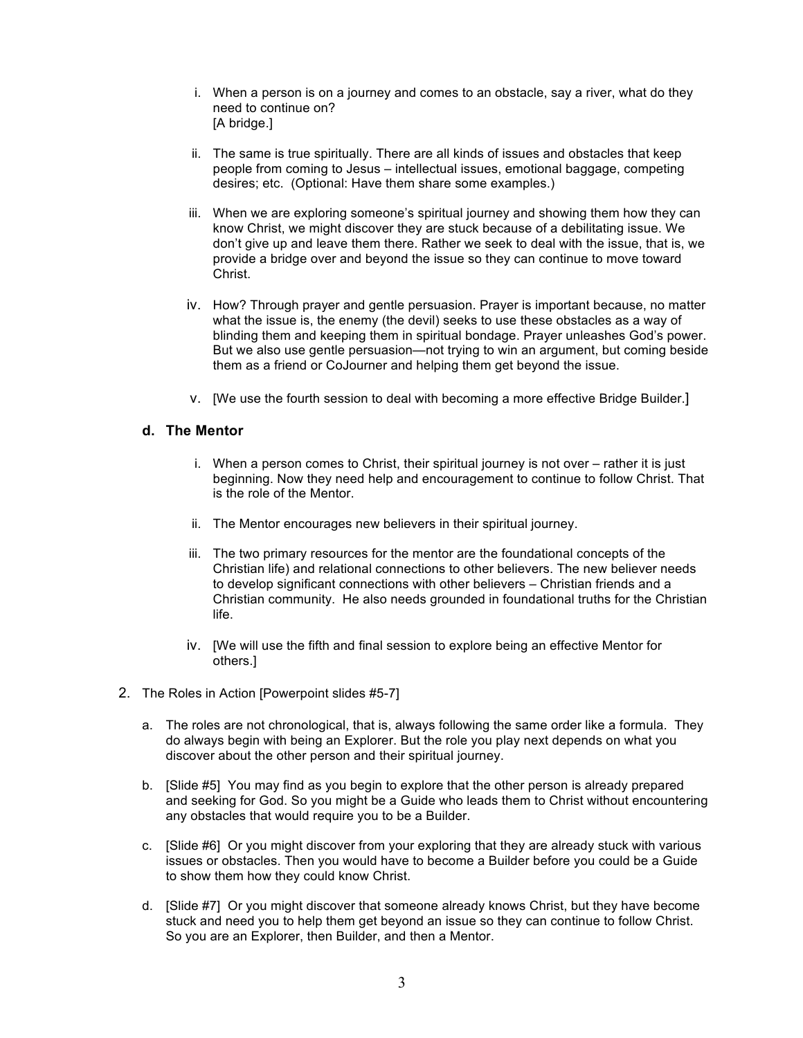- i. When a person is on a journey and comes to an obstacle, say a river, what do they need to continue on? [A bridge.]
- ii. The same is true spiritually. There are all kinds of issues and obstacles that keep people from coming to Jesus – intellectual issues, emotional baggage, competing desires; etc. (Optional: Have them share some examples.)
- iii. When we are exploring someone's spiritual journey and showing them how they can know Christ, we might discover they are stuck because of a debilitating issue. We don't give up and leave them there. Rather we seek to deal with the issue, that is, we provide a bridge over and beyond the issue so they can continue to move toward Christ.
- iv. How? Through prayer and gentle persuasion. Prayer is important because, no matter what the issue is, the enemy (the devil) seeks to use these obstacles as a way of blinding them and keeping them in spiritual bondage. Prayer unleashes God's power. But we also use gentle persuasion—not trying to win an argument, but coming beside them as a friend or CoJourner and helping them get beyond the issue.
- v. [We use the fourth session to deal with becoming a more effective Bridge Builder.]

### **d. The Mentor**

- i. When a person comes to Christ, their spiritual journey is not over rather it is just beginning. Now they need help and encouragement to continue to follow Christ. That is the role of the Mentor.
- ii. The Mentor encourages new believers in their spiritual journey.
- iii. The two primary resources for the mentor are the foundational concepts of the Christian life) and relational connections to other believers. The new believer needs to develop significant connections with other believers – Christian friends and a Christian community. He also needs grounded in foundational truths for the Christian life.
- iv. [We will use the fifth and final session to explore being an effective Mentor for others.]
- 2. The Roles in Action [Powerpoint slides #5-7]
	- a. The roles are not chronological, that is, always following the same order like a formula. They do always begin with being an Explorer. But the role you play next depends on what you discover about the other person and their spiritual journey.
	- b. [Slide #5] You may find as you begin to explore that the other person is already prepared and seeking for God. So you might be a Guide who leads them to Christ without encountering any obstacles that would require you to be a Builder.
	- c. [Slide #6] Or you might discover from your exploring that they are already stuck with various issues or obstacles. Then you would have to become a Builder before you could be a Guide to show them how they could know Christ.
	- d. [Slide #7] Or you might discover that someone already knows Christ, but they have become stuck and need you to help them get beyond an issue so they can continue to follow Christ. So you are an Explorer, then Builder, and then a Mentor.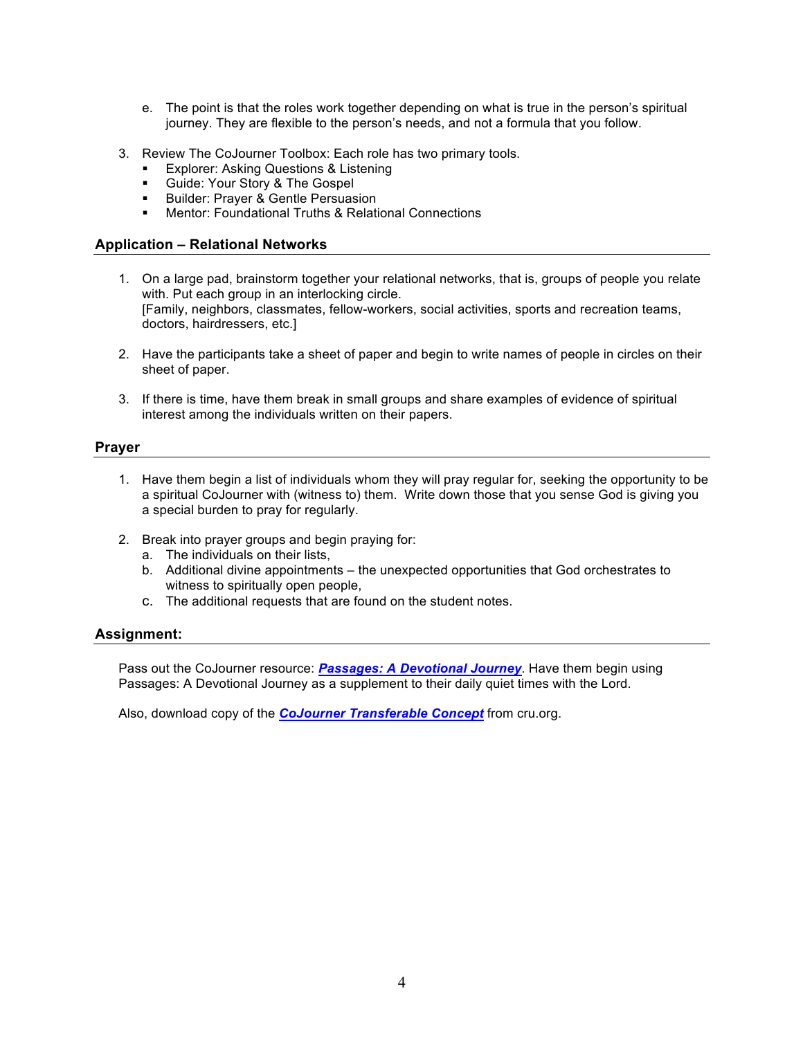- e. The point is that the roles work together depending on what is true in the person's spiritual journey. They are flexible to the person's needs, and not a formula that you follow.
- 3. Review The CoJourner Toolbox: Each role has two primary tools.
	- Explorer: Asking Questions & Listening
	- Guide: Your Story & The Gospel
	- **■** Builder: Prayer & Gentle Persuasion
	- Mentor: Foundational Truths & Relational Connections

# **Application – Relational Networks**

- 1. On a large pad, brainstorm together your relational networks, that is, groups of people you relate with. Put each group in an interlocking circle. [Family, neighbors, classmates, fellow-workers, social activities, sports and recreation teams, doctors, hairdressers, etc.]
- 2. Have the participants take a sheet of paper and begin to write names of people in circles on their sheet of paper.
- 3. If there is time, have them break in small groups and share examples of evidence of spiritual interest among the individuals written on their papers.

# **Prayer**

- 1. Have them begin a list of individuals whom they will pray regular for, seeking the opportunity to be a spiritual CoJourner with (witness to) them. Write down those that you sense God is giving you a special burden to pray for regularly.
- 2. Break into prayer groups and begin praying for:
	- a. The individuals on their lists,
	- b. Additional divine appointments the unexpected opportunities that God orchestrates to witness to spiritually open people,
	- c. The additional requests that are found on the student notes.

#### **Assignment:**

Pass out the CoJourner resource: *Passages: A Devotional Journey*. Have them begin using Passages: A Devotional Journey as a supplement to their daily quiet times with the Lord.

Also, download copy of the *CoJourner Transferable Concept* from cru.org.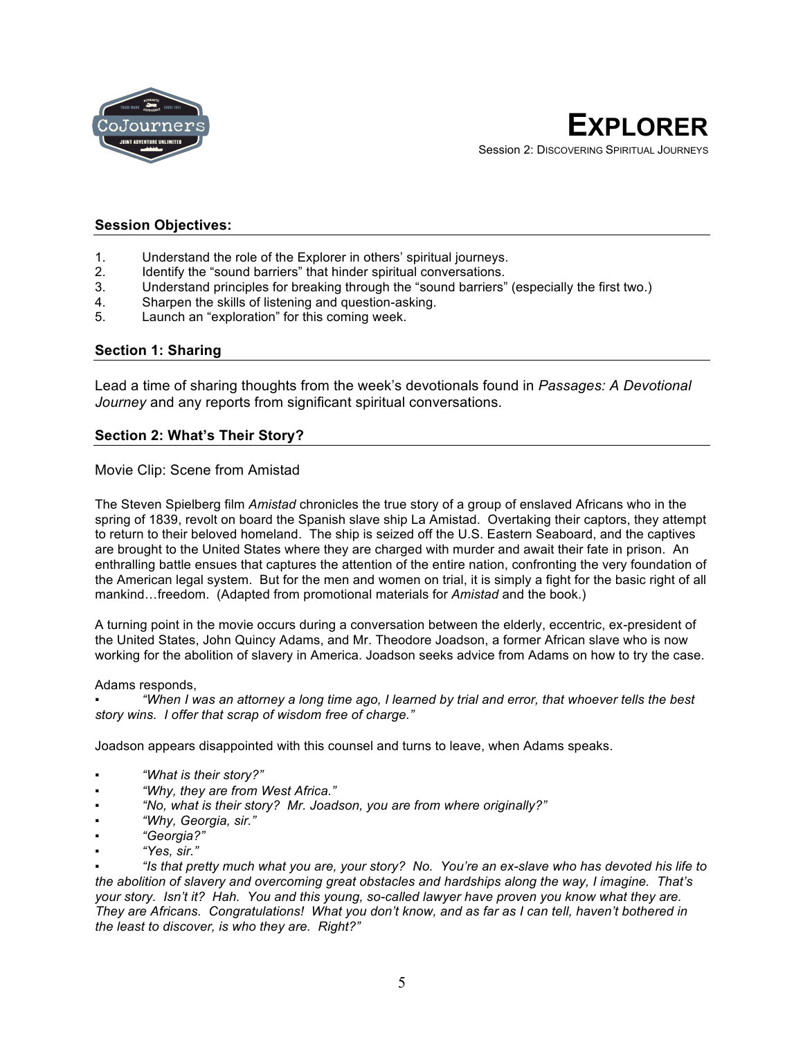

# **Session Objectives:**

- 1. Understand the role of the Explorer in others' spiritual journeys.
- 2. Identify the "sound barriers" that hinder spiritual conversations.
- 3. Understand principles for breaking through the "sound barriers" (especially the first two.)
- 4. Sharpen the skills of listening and question-asking.<br>5. Launch an "exploration" for this coming week.
- Launch an "exploration" for this coming week.

### **Section 1: Sharing**

Lead a time of sharing thoughts from the week's devotionals found in *Passages: A Devotional Journey* and any reports from significant spiritual conversations.

# **Section 2: What's Their Story?**

### Movie Clip: Scene from Amistad

The Steven Spielberg film *Amistad* chronicles the true story of a group of enslaved Africans who in the spring of 1839, revolt on board the Spanish slave ship La Amistad. Overtaking their captors, they attempt to return to their beloved homeland. The ship is seized off the U.S. Eastern Seaboard, and the captives are brought to the United States where they are charged with murder and await their fate in prison. An enthralling battle ensues that captures the attention of the entire nation, confronting the very foundation of the American legal system. But for the men and women on trial, it is simply a fight for the basic right of all mankind…freedom. (Adapted from promotional materials for *Amistad* and the book.)

A turning point in the movie occurs during a conversation between the elderly, eccentric, ex-president of the United States, John Quincy Adams, and Mr. Theodore Joadson, a former African slave who is now working for the abolition of slavery in America. Joadson seeks advice from Adams on how to try the case.

#### Adams responds,

▪ *"When I was an attorney a long time ago, I learned by trial and error, that whoever tells the best story wins. I offer that scrap of wisdom free of charge."*

Joadson appears disappointed with this counsel and turns to leave, when Adams speaks.

- *"What is their story?"*
- *"Why, they are from West Africa."*
- *"No, what is their story? Mr. Joadson, you are from where originally?"*
- *"Why, Georgia, sir."*
- *"Georgia?"*
- *"Yes, sir."*

▪ *"Is that pretty much what you are, your story? No. You're an ex-slave who has devoted his life to the abolition of slavery and overcoming great obstacles and hardships along the way, I imagine. That's your story. Isn't it? Hah. You and this young, so-called lawyer have proven you know what they are. They are Africans. Congratulations! What you don't know, and as far as I can tell, haven't bothered in the least to discover, is who they are. Right?"*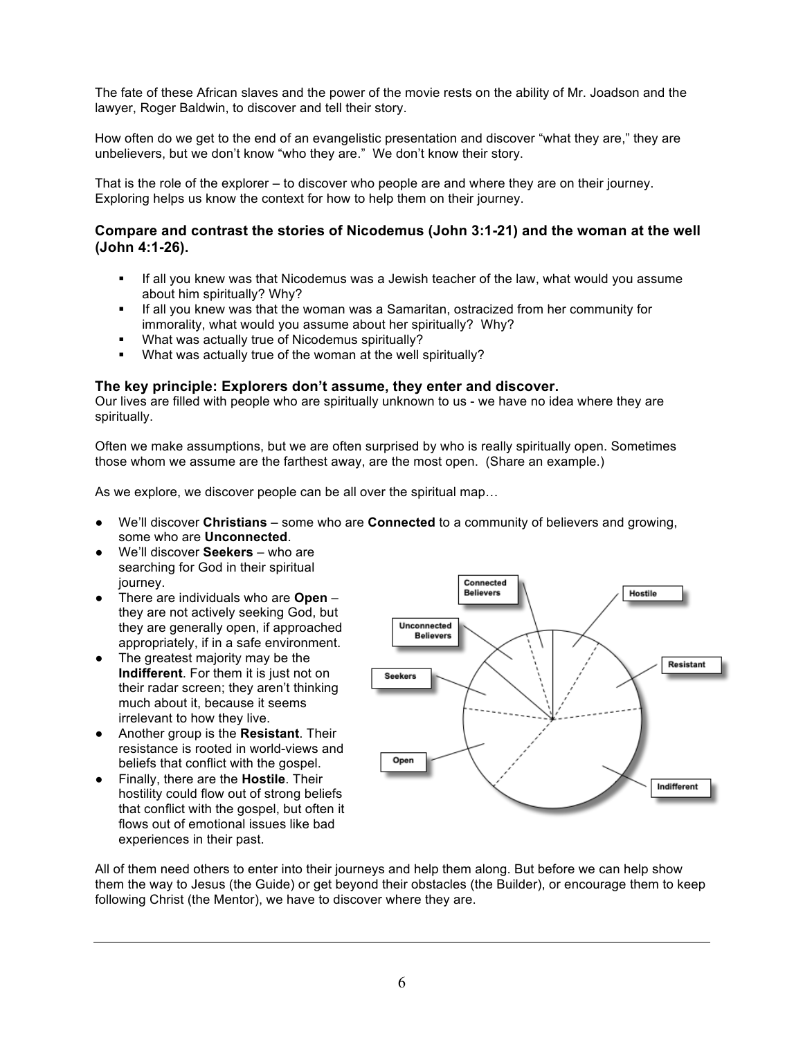The fate of these African slaves and the power of the movie rests on the ability of Mr. Joadson and the lawyer, Roger Baldwin, to discover and tell their story.

How often do we get to the end of an evangelistic presentation and discover "what they are," they are unbelievers, but we don't know "who they are." We don't know their story.

That is the role of the explorer – to discover who people are and where they are on their journey. Exploring helps us know the context for how to help them on their journey.

# **Compare and contrast the stories of Nicodemus (John 3:1-21) and the woman at the well (John 4:1-26).**

- **•** If all you knew was that Nicodemus was a Jewish teacher of the law, what would you assume about him spiritually? Why?
- If all you knew was that the woman was a Samaritan, ostracized from her community for immorality, what would you assume about her spiritually? Why?
- § What was actually true of Nicodemus spiritually?
- § What was actually true of the woman at the well spiritually?

### **The key principle: Explorers don't assume, they enter and discover.**

Our lives are filled with people who are spiritually unknown to us - we have no idea where they are spiritually.

Often we make assumptions, but we are often surprised by who is really spiritually open. Sometimes those whom we assume are the farthest away, are the most open. (Share an example.)

As we explore, we discover people can be all over the spiritual map…

- We'll discover **Christians** some who are **Connected** to a community of believers and growing, some who are **Unconnected**.
- We'll discover **Seekers** who are searching for God in their spiritual journey.
- There are individuals who are **Open** they are not actively seeking God, but they are generally open, if approached appropriately, if in a safe environment.
- The greatest majority may be the **Indifferent**. For them it is just not on their radar screen; they aren't thinking much about it, because it seems irrelevant to how they live.
- Another group is the **Resistant**. Their resistance is rooted in world-views and beliefs that conflict with the gospel.
- Finally, there are the **Hostile**. Their hostility could flow out of strong beliefs that conflict with the gospel, but often it flows out of emotional issues like bad experiences in their past.



All of them need others to enter into their journeys and help them along. But before we can help show them the way to Jesus (the Guide) or get beyond their obstacles (the Builder), or encourage them to keep following Christ (the Mentor), we have to discover where they are.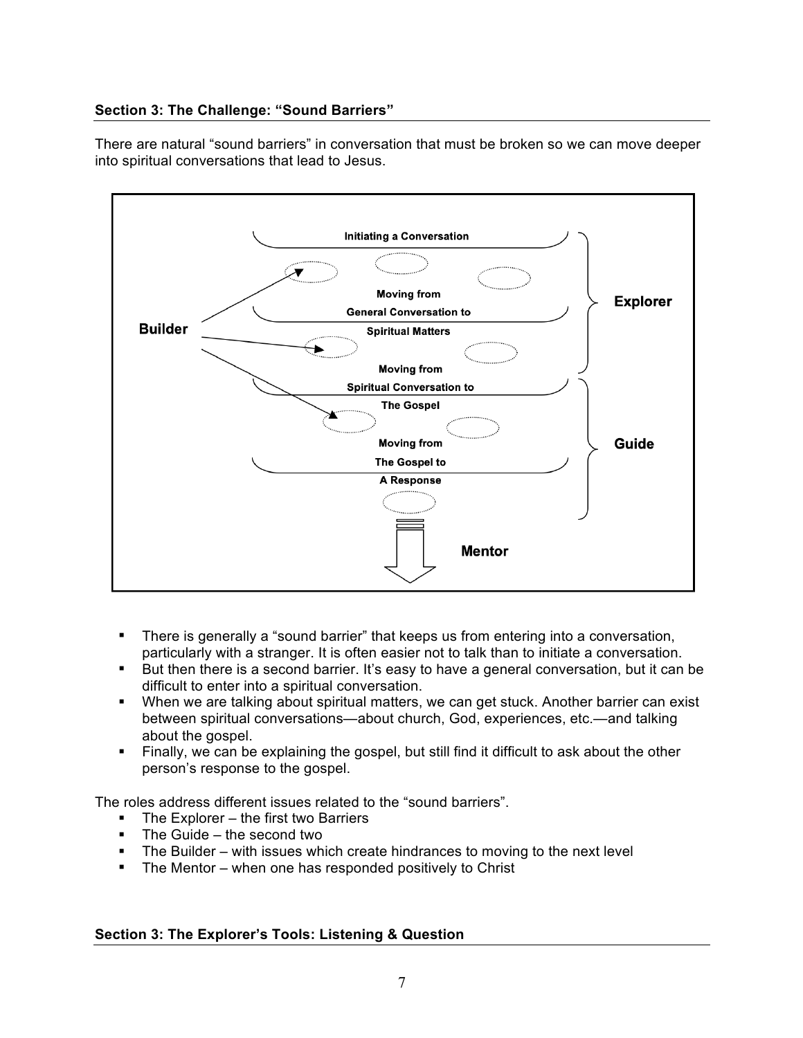# **Section 3: The Challenge: "Sound Barriers"**

There are natural "sound barriers" in conversation that must be broken so we can move deeper into spiritual conversations that lead to Jesus.



- There is generally a "sound barrier" that keeps us from entering into a conversation, particularly with a stranger. It is often easier not to talk than to initiate a conversation.
- But then there is a second barrier. It's easy to have a general conversation, but it can be difficult to enter into a spiritual conversation.
- § When we are talking about spiritual matters, we can get stuck. Another barrier can exist between spiritual conversations—about church, God, experiences, etc.—and talking about the gospel.
- Finally, we can be explaining the gospel, but still find it difficult to ask about the other person's response to the gospel.

The roles address different issues related to the "sound barriers".

- The Explorer the first two Barriers
- The Guide the second two
- The Builder with issues which create hindrances to moving to the next level
- The Mentor when one has responded positively to Christ

# **Section 3: The Explorer's Tools: Listening & Question**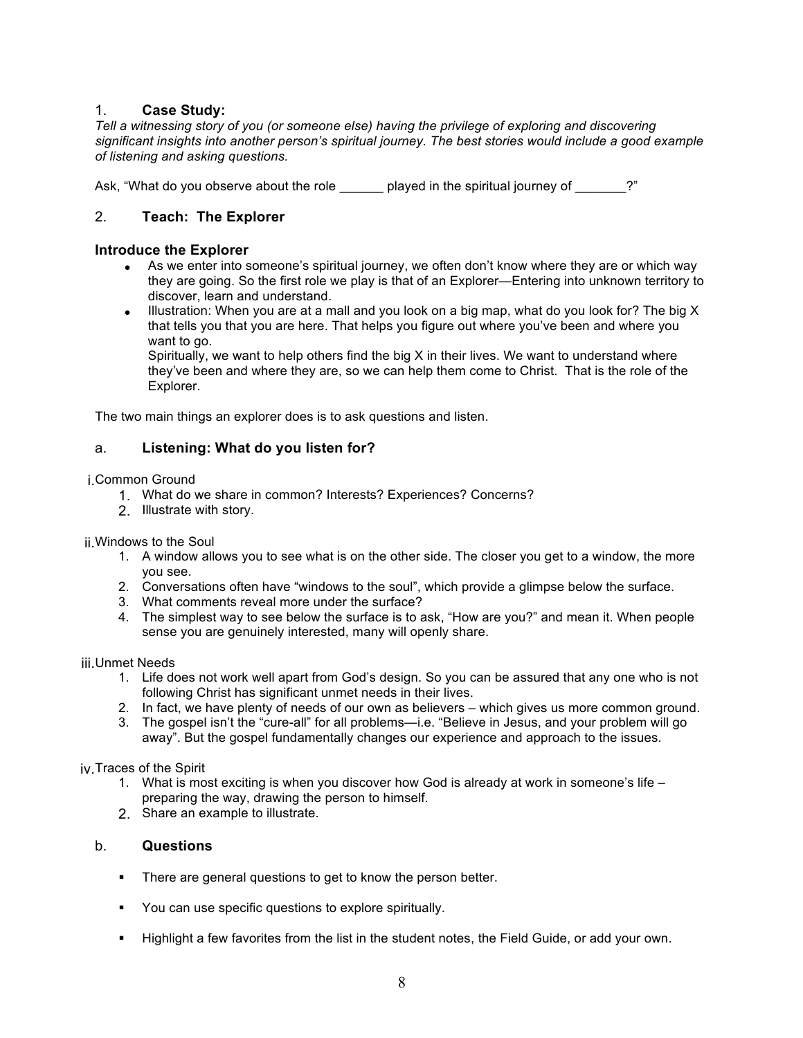# 1. **Case Study:**

*Tell a witnessing story of you (or someone else) having the privilege of exploring and discovering significant insights into another person's spiritual journey. The best stories would include a good example of listening and asking questions.*

Ask, "What do you observe about the role \_\_\_\_\_\_ played in the spiritual journey of \_\_\_\_\_\_?"

# 2. **Teach: The Explorer**

### **Introduce the Explorer**

- As we enter into someone's spiritual journey, we often don't know where they are or which way they are going. So the first role we play is that of an Explorer—Entering into unknown territory to discover, learn and understand.
- Illustration: When you are at a mall and you look on a big map, what do you look for? The big  $X$ that tells you that you are here. That helps you figure out where you've been and where you want to go.

Spiritually, we want to help others find the big  $X$  in their lives. We want to understand where they've been and where they are, so we can help them come to Christ. That is the role of the Explorer.

The two main things an explorer does is to ask questions and listen.

# a. **Listening: What do you listen for?**

#### i.Common Ground

- 1. What do we share in common? Interests? Experiences? Concerns?
- 2. Illustrate with story.

ii.Windows to the Soul

- 1. A window allows you to see what is on the other side. The closer you get to a window, the more you see.
- 2. Conversations often have "windows to the soul", which provide a glimpse below the surface.
- 3. What comments reveal more under the surface?
- 4. The simplest way to see below the surface is to ask, "How are you?" and mean it. When people sense you are genuinely interested, many will openly share.

#### iii.Unmet Needs

- 1. Life does not work well apart from God's design. So you can be assured that any one who is not following Christ has significant unmet needs in their lives.
- 2. In fact, we have plenty of needs of our own as believers which gives us more common ground.
- 3. The gospel isn't the "cure-all" for all problems—i.e. "Believe in Jesus, and your problem will go away". But the gospel fundamentally changes our experience and approach to the issues.

iv.Traces of the Spirit

- 1. What is most exciting is when you discover how God is already at work in someone's life preparing the way, drawing the person to himself.
- 2. Share an example to illustrate.

# b. **Questions**

- **•** There are general questions to get to know the person better.
- § You can use specific questions to explore spiritually.
- § Highlight a few favorites from the list in the student notes, the Field Guide, or add your own.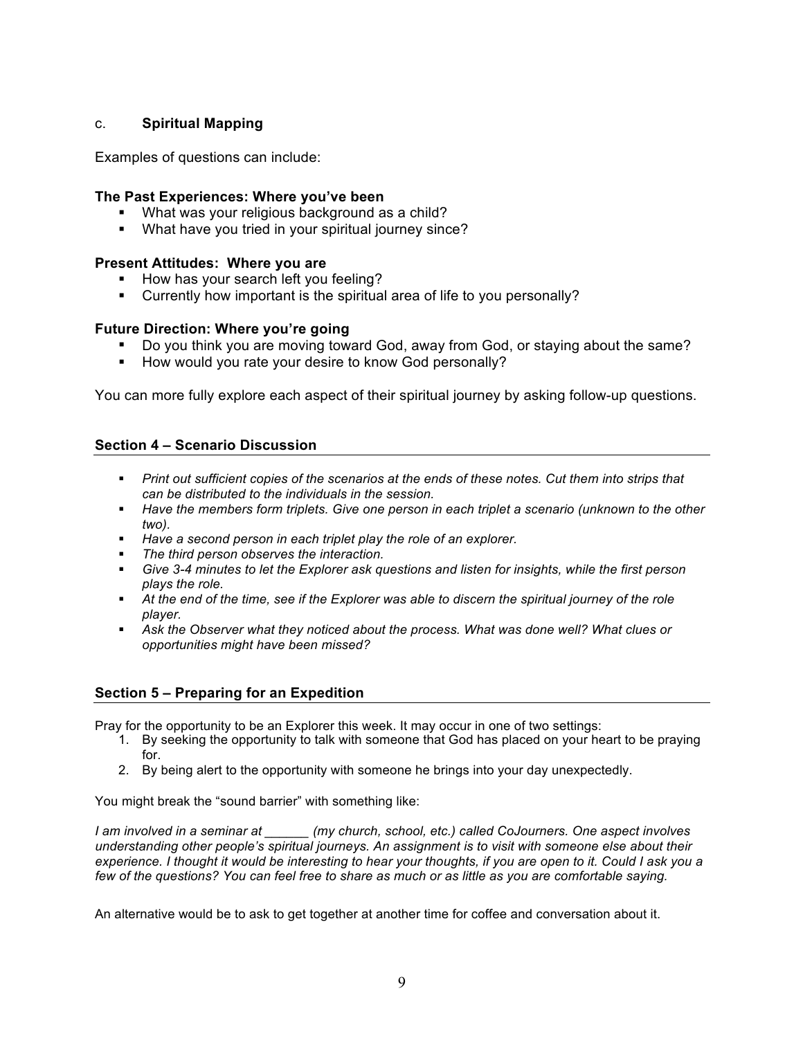# c. **Spiritual Mapping**

Examples of questions can include:

# **The Past Experiences: Where you've been**

- What was your religious background as a child?
- What have you tried in your spiritual journey since?

# **Present Attitudes: Where you are**

- How has your search left you feeling?
- § Currently how important is the spiritual area of life to you personally?

# **Future Direction: Where you're going**

- § Do you think you are moving toward God, away from God, or staying about the same?
- How would you rate your desire to know God personally?

You can more fully explore each aspect of their spiritual journey by asking follow-up questions.

# **Section 4 – Scenario Discussion**

- § *Print out sufficient copies of the scenarios at the ends of these notes. Cut them into strips that can be distributed to the individuals in the session.*
- § *Have the members form triplets. Give one person in each triplet a scenario (unknown to the other two).*
- Have a second person in each triplet play the role of an explorer.
- § *The third person observes the interaction.*
- § *Give 3-4 minutes to let the Explorer ask questions and listen for insights, while the first person plays the role.*
- § *At the end of the time, see if the Explorer was able to discern the spiritual journey of the role player.*
- Ask the Observer what they noticed about the process. What was done well? What clues or *opportunities might have been missed?*

# **Section 5 – Preparing for an Expedition**

Pray for the opportunity to be an Explorer this week. It may occur in one of two settings:

- 1. By seeking the opportunity to talk with someone that God has placed on your heart to be praying for.
- 2. By being alert to the opportunity with someone he brings into your day unexpectedly.

You might break the "sound barrier" with something like:

*I am involved in a seminar at \_\_\_\_\_\_ (my church, school, etc.) called CoJourners. One aspect involves understanding other people's spiritual journeys. An assignment is to visit with someone else about their experience. I thought it would be interesting to hear your thoughts, if you are open to it. Could I ask you a few of the questions? You can feel free to share as much or as little as you are comfortable saying.*

An alternative would be to ask to get together at another time for coffee and conversation about it.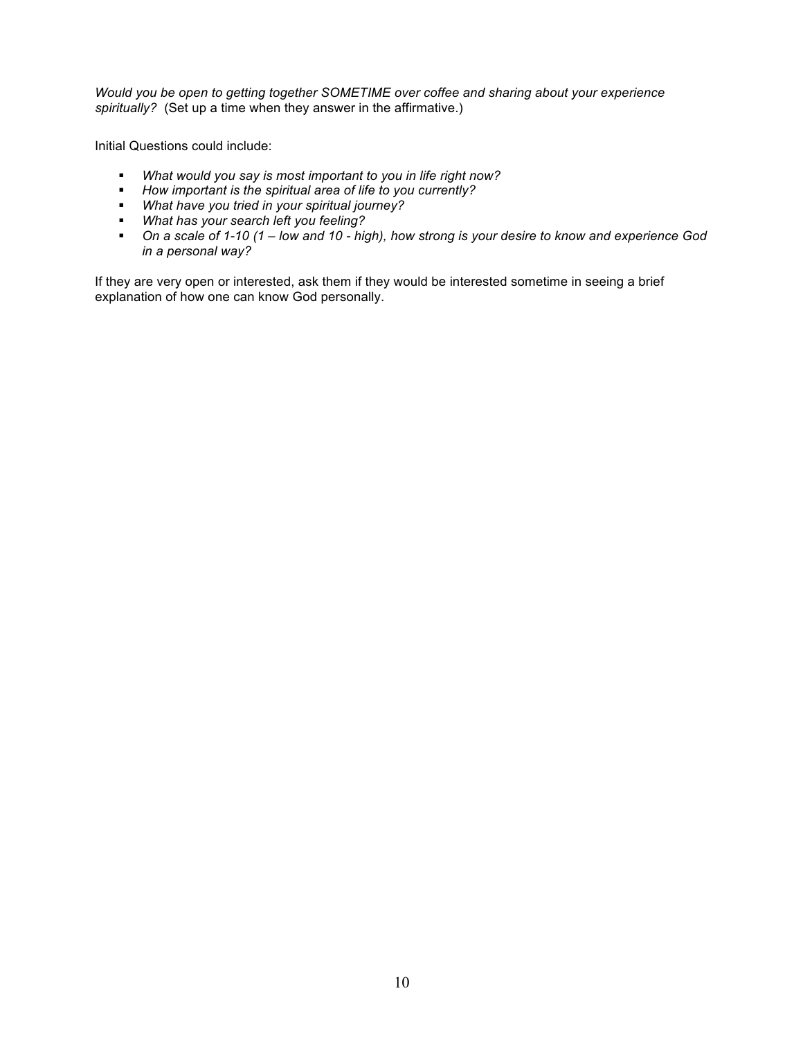*Would you be open to getting together SOMETIME over coffee and sharing about your experience spiritually?* (Set up a time when they answer in the affirmative.)

Initial Questions could include:

- § *What would you say is most important to you in life right now?*
- § *How important is the spiritual area of life to you currently?*
- § *What have you tried in your spiritual journey?*
- § *What has your search left you feeling?*
- § *On a scale of 1-10 (1 – low and 10 - high), how strong is your desire to know and experience God in a personal way?*

If they are very open or interested, ask them if they would be interested sometime in seeing a brief explanation of how one can know God personally.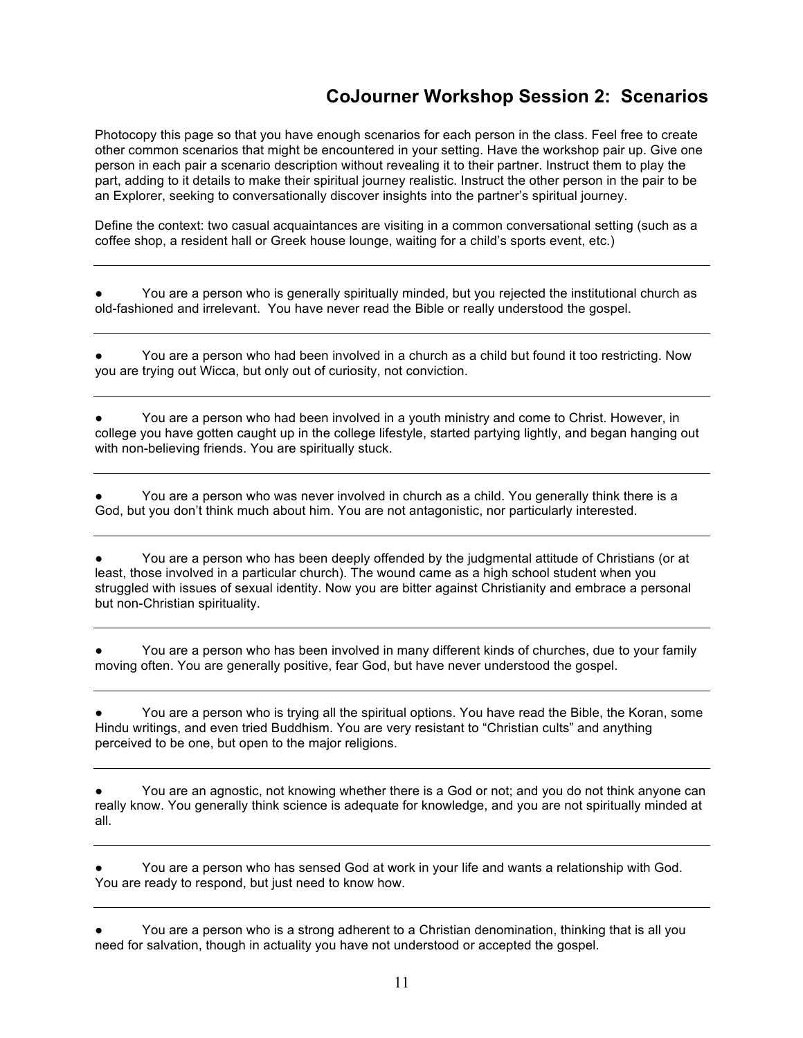# **CoJourner Workshop Session 2: Scenarios**

Photocopy this page so that you have enough scenarios for each person in the class. Feel free to create other common scenarios that might be encountered in your setting. Have the workshop pair up. Give one person in each pair a scenario description without revealing it to their partner. Instruct them to play the part, adding to it details to make their spiritual journey realistic. Instruct the other person in the pair to be an Explorer, seeking to conversationally discover insights into the partner's spiritual journey.

Define the context: two casual acquaintances are visiting in a common conversational setting (such as a coffee shop, a resident hall or Greek house lounge, waiting for a child's sports event, etc.)

You are a person who is generally spiritually minded, but you rejected the institutional church as old-fashioned and irrelevant. You have never read the Bible or really understood the gospel.

You are a person who had been involved in a church as a child but found it too restricting. Now you are trying out Wicca, but only out of curiosity, not conviction.

You are a person who had been involved in a youth ministry and come to Christ. However, in college you have gotten caught up in the college lifestyle, started partying lightly, and began hanging out with non-believing friends. You are spiritually stuck.

You are a person who was never involved in church as a child. You generally think there is a God, but you don't think much about him. You are not antagonistic, nor particularly interested.

You are a person who has been deeply offended by the judgmental attitude of Christians (or at least, those involved in a particular church). The wound came as a high school student when you struggled with issues of sexual identity. Now you are bitter against Christianity and embrace a personal but non-Christian spirituality.

You are a person who has been involved in many different kinds of churches, due to your family moving often. You are generally positive, fear God, but have never understood the gospel.

You are a person who is trying all the spiritual options. You have read the Bible, the Koran, some Hindu writings, and even tried Buddhism. You are very resistant to "Christian cults" and anything perceived to be one, but open to the major religions.

You are an agnostic, not knowing whether there is a God or not; and you do not think anyone can really know. You generally think science is adequate for knowledge, and you are not spiritually minded at all.

You are a person who has sensed God at work in your life and wants a relationship with God. You are ready to respond, but just need to know how.

You are a person who is a strong adherent to a Christian denomination, thinking that is all you need for salvation, though in actuality you have not understood or accepted the gospel.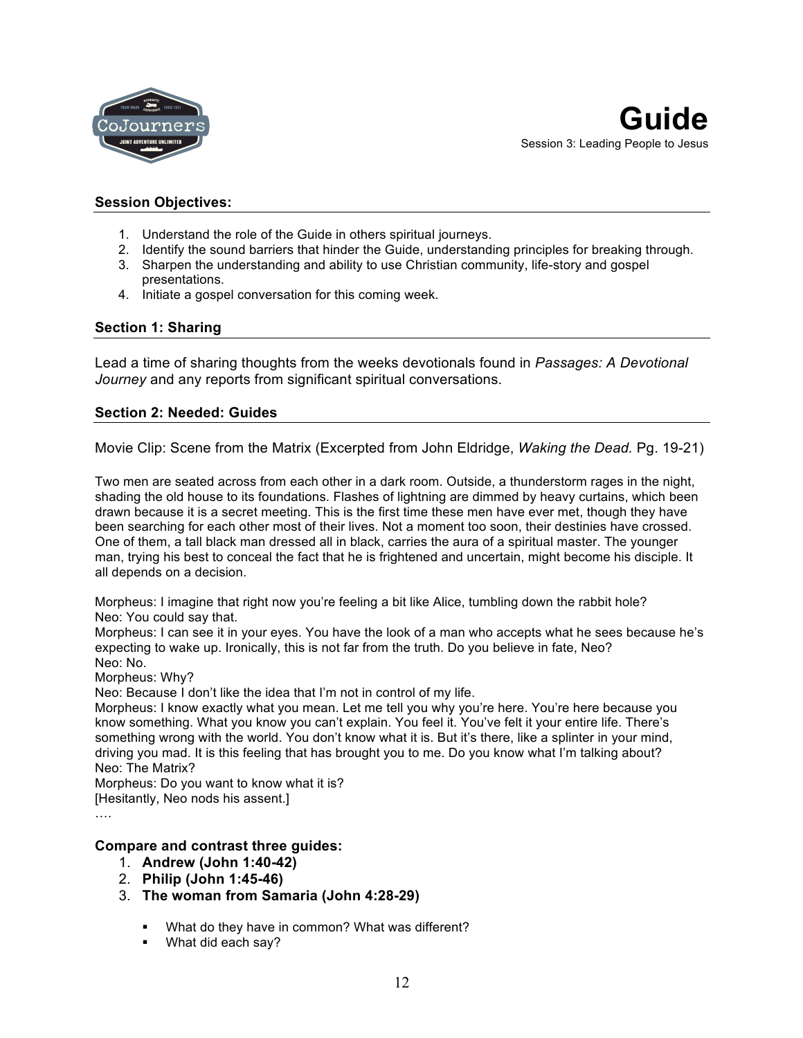

# **Session Objectives:**

- 1. Understand the role of the Guide in others spiritual journeys.
- 2. Identify the sound barriers that hinder the Guide, understanding principles for breaking through.
- 3. Sharpen the understanding and ability to use Christian community, life-story and gospel presentations.
- 4. Initiate a gospel conversation for this coming week.

# **Section 1: Sharing**

Lead a time of sharing thoughts from the weeks devotionals found in *Passages: A Devotional Journey* and any reports from significant spiritual conversations.

# **Section 2: Needed: Guides**

Movie Clip: Scene from the Matrix (Excerpted from John Eldridge, *Waking the Dead.* Pg. 19-21)

Two men are seated across from each other in a dark room. Outside, a thunderstorm rages in the night, shading the old house to its foundations. Flashes of lightning are dimmed by heavy curtains, which been drawn because it is a secret meeting. This is the first time these men have ever met, though they have been searching for each other most of their lives. Not a moment too soon, their destinies have crossed. One of them, a tall black man dressed all in black, carries the aura of a spiritual master. The younger man, trying his best to conceal the fact that he is frightened and uncertain, might become his disciple. It all depends on a decision.

Morpheus: I imagine that right now you're feeling a bit like Alice, tumbling down the rabbit hole? Neo: You could say that.

Morpheus: I can see it in your eyes. You have the look of a man who accepts what he sees because he's expecting to wake up. Ironically, this is not far from the truth. Do you believe in fate, Neo? Neo: No.

Morpheus: Why?

Neo: Because I don't like the idea that I'm not in control of my life.

Morpheus: I know exactly what you mean. Let me tell you why you're here. You're here because you know something. What you know you can't explain. You feel it. You've felt it your entire life. There's something wrong with the world. You don't know what it is. But it's there, like a splinter in your mind, driving you mad. It is this feeling that has brought you to me. Do you know what I'm talking about? Neo: The Matrix?

Morpheus: Do you want to know what it is?

[Hesitantly, Neo nods his assent.]

….

# **Compare and contrast three guides:**

- 1. **Andrew (John 1:40-42)**
- 2. **Philip (John 1:45-46)**
- 3. **The woman from Samaria (John 4:28-29)** 
	- What do they have in common? What was different?
	- § What did each say?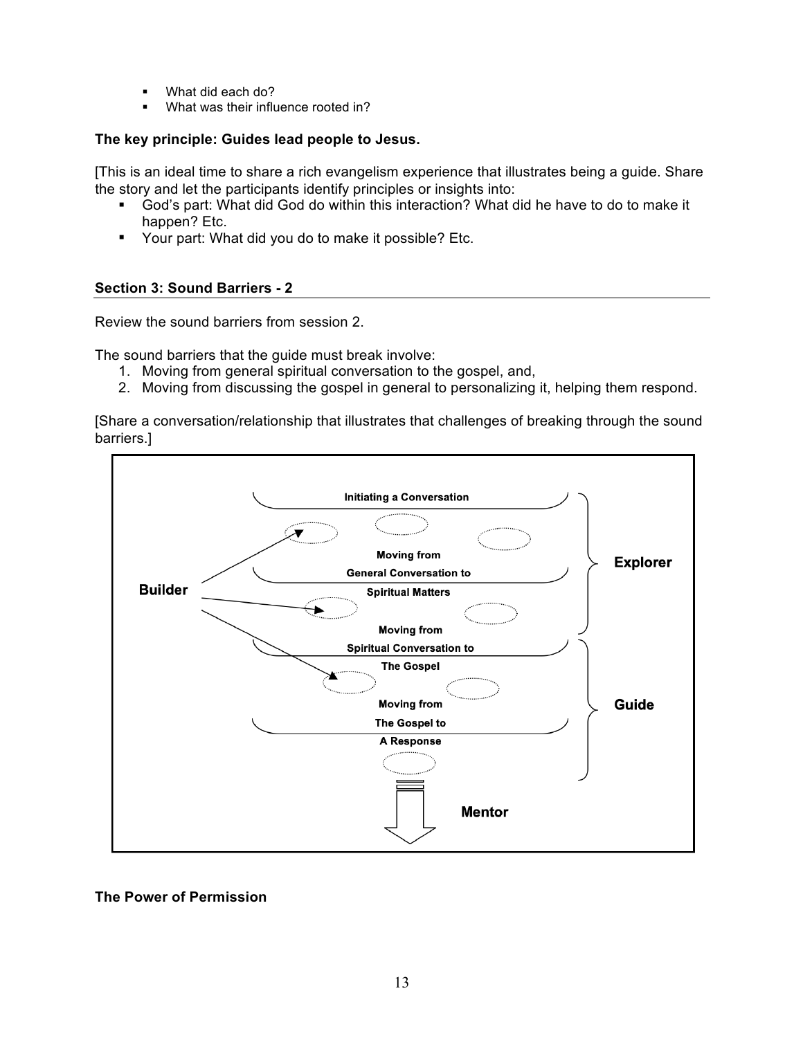- § What did each do?
- What was their influence rooted in?

# **The key principle: Guides lead people to Jesus.**

[This is an ideal time to share a rich evangelism experience that illustrates being a guide. Share the story and let the participants identify principles or insights into:

- § God's part: What did God do within this interaction? What did he have to do to make it happen? Etc.
- Your part: What did you do to make it possible? Etc.

# **Section 3: Sound Barriers - 2**

Review the sound barriers from session 2.

The sound barriers that the guide must break involve:

- 1. Moving from general spiritual conversation to the gospel, and,
- 2. Moving from discussing the gospel in general to personalizing it, helping them respond.

[Share a conversation/relationship that illustrates that challenges of breaking through the sound barriers.]



**The Power of Permission**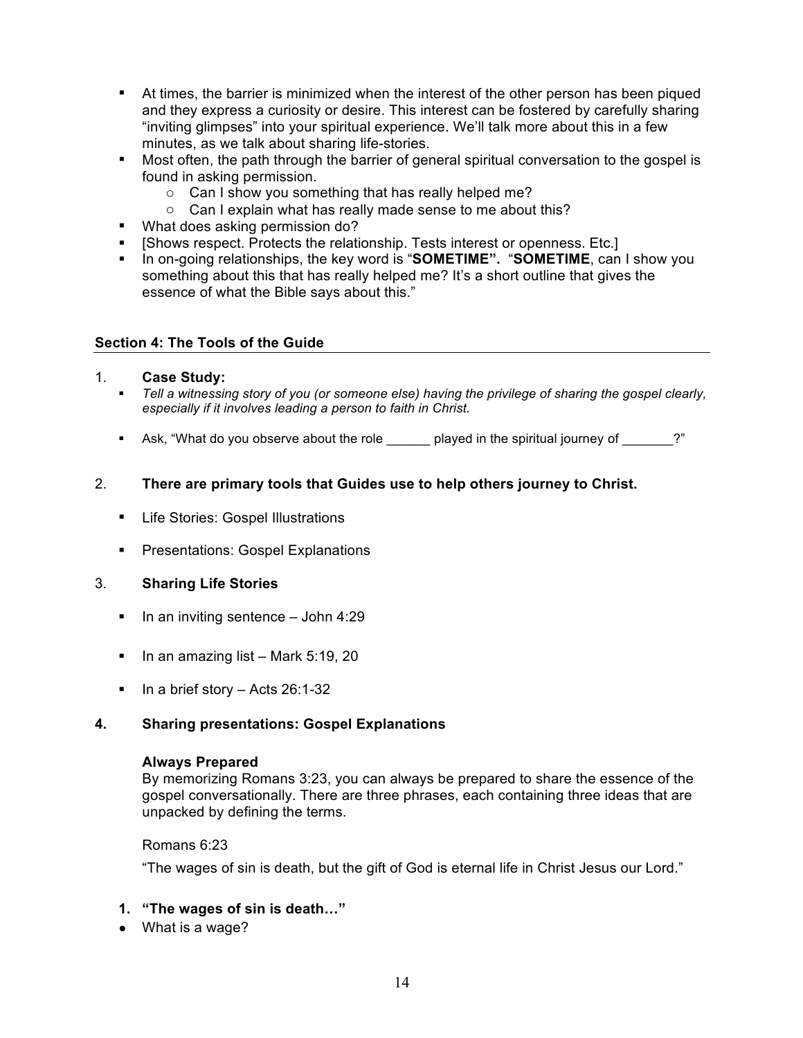- **•** At times, the barrier is minimized when the interest of the other person has been piqued and they express a curiosity or desire. This interest can be fostered by carefully sharing "inviting glimpses" into your spiritual experience. We'll talk more about this in a few minutes, as we talk about sharing life-stories.
- Most often, the path through the barrier of general spiritual conversation to the gospel is found in asking permission.
	- o Can I show you something that has really helped me?
	- o Can I explain what has really made sense to me about this?
- What does asking permission do?
- § [Shows respect. Protects the relationship. Tests interest or openness. Etc.]
- § In on-going relationships, the key word is "**SOMETIME".** "**SOMETIME**, can I show you something about this that has really helped me? It's a short outline that gives the essence of what the Bible says about this."

# **Section 4: The Tools of the Guide**

# 1. **Case Study:**

- § *Tell a witnessing story of you (or someone else) having the privilege of sharing the gospel clearly, especially if it involves leading a person to faith in Christ.*
- Ask, "What do you observe about the role endled played in the spiritual journey of  $\sim$  ?"

# 2. **There are primary tools that Guides use to help others journey to Christ.**

- Life Stories: Gospel Illustrations
- Presentations: Gospel Explanations

# 3. **Sharing Life Stories**

- **•** In an inviting sentence  $-$  John 4:29
- In an amazing list Mark 5:19, 20
- In a brief story Acts 26:1-32

# **4. Sharing presentations: Gospel Explanations**

# **Always Prepared**

By memorizing Romans 3:23, you can always be prepared to share the essence of the gospel conversationally. There are three phrases, each containing three ideas that are unpacked by defining the terms.

# Romans 6:23

"The wages of sin is death, but the gift of God is eternal life in Christ Jesus our Lord."

# **1. "The wages of sin is death…"**

● What is a wage?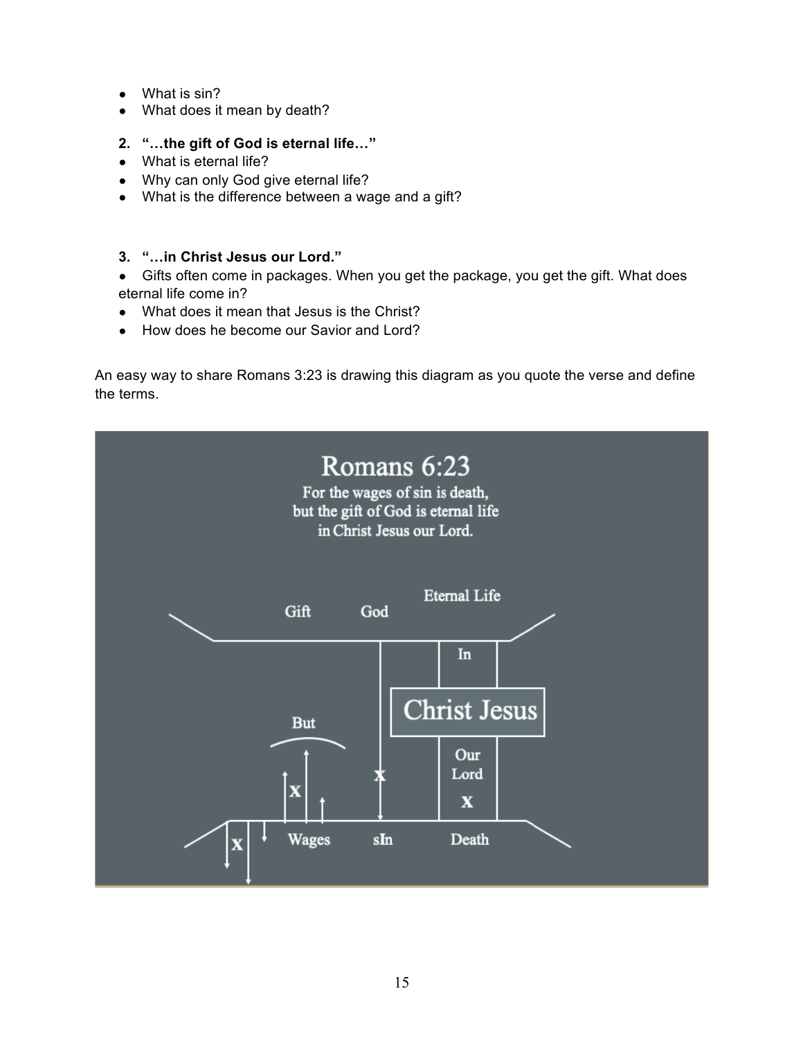- What is sin?
- What does it mean by death?
- **2. "…the gift of God is eternal life…"**
- What is eternal life?
- Why can only God give eternal life?
- What is the difference between a wage and a gift?
- **3. "…in Christ Jesus our Lord."**
- Gifts often come in packages. When you get the package, you get the gift. What does eternal life come in?
- What does it mean that Jesus is the Christ?
- How does he become our Savior and Lord?

An easy way to share Romans 3:23 is drawing this diagram as you quote the verse and define the terms.

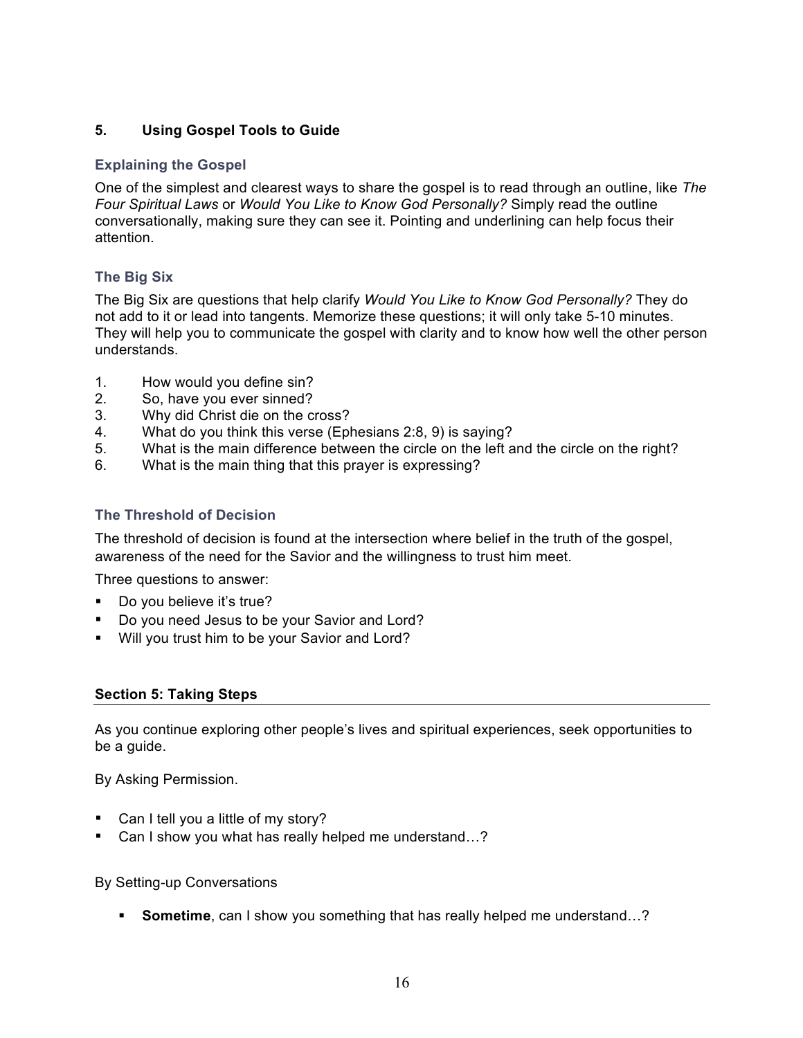# **5. Using Gospel Tools to Guide**

# **Explaining the Gospel**

One of the simplest and clearest ways to share the gospel is to read through an outline, like *The Four Spiritual Laws* or *Would You Like to Know God Personally?* Simply read the outline conversationally, making sure they can see it. Pointing and underlining can help focus their attention.

# **The Big Six**

The Big Six are questions that help clarify *Would You Like to Know God Personally?* They do not add to it or lead into tangents. Memorize these questions; it will only take 5-10 minutes. They will help you to communicate the gospel with clarity and to know how well the other person understands.

- 1. How would you define sin?
- 2. So, have you ever sinned?
- 3. Why did Christ die on the cross?
- 4. What do you think this verse (Ephesians 2:8, 9) is saying?
- 5. What is the main difference between the circle on the left and the circle on the right?
- 6. What is the main thing that this prayer is expressing?

# **The Threshold of Decision**

The threshold of decision is found at the intersection where belief in the truth of the gospel, awareness of the need for the Savior and the willingness to trust him meet.

Three questions to answer:

- Do you believe it's true?
- Do you need Jesus to be your Savior and Lord?
- Will you trust him to be your Savior and Lord?

# **Section 5: Taking Steps**

As you continue exploring other people's lives and spiritual experiences, seek opportunities to be a guide.

By Asking Permission.

- Can I tell you a little of my story?
- Can I show you what has really helped me understand...?

By Setting-up Conversations

**Sometime**, can I show you something that has really helped me understand...?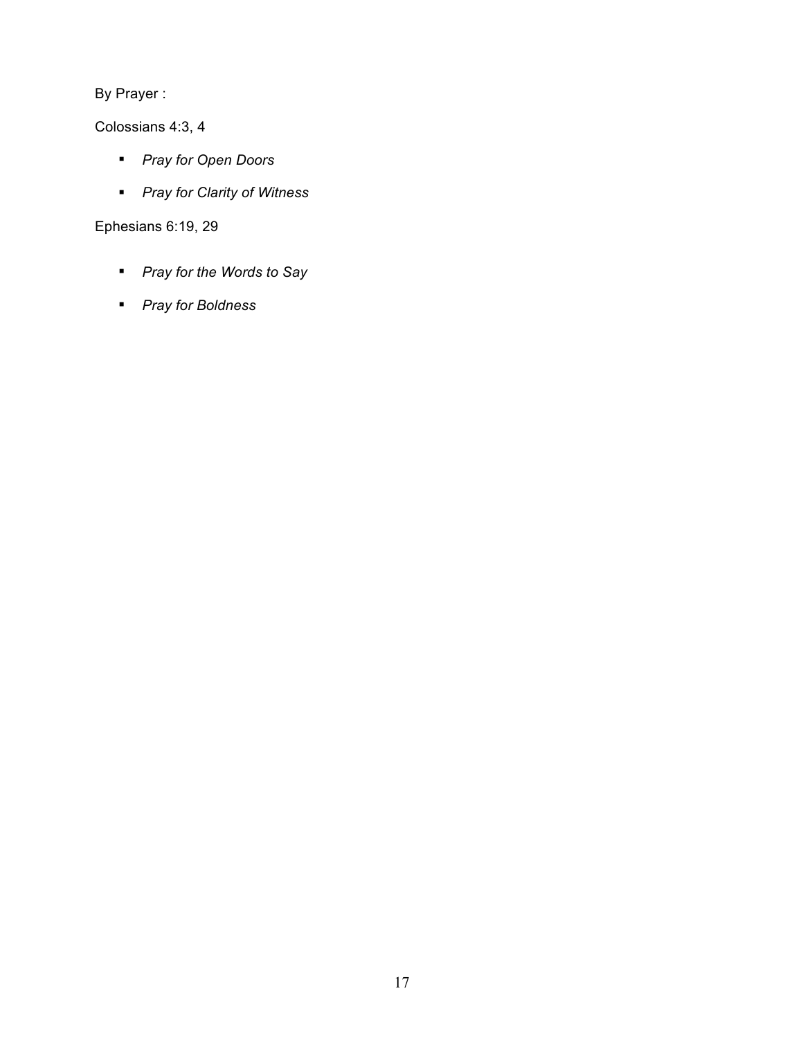By Prayer :

Colossians 4:3, 4

- § *Pray for Open Doors*
- § *Pray for Clarity of Witness*

Ephesians 6:19, 29

- § *Pray for the Words to Say*
- § *Pray for Boldness*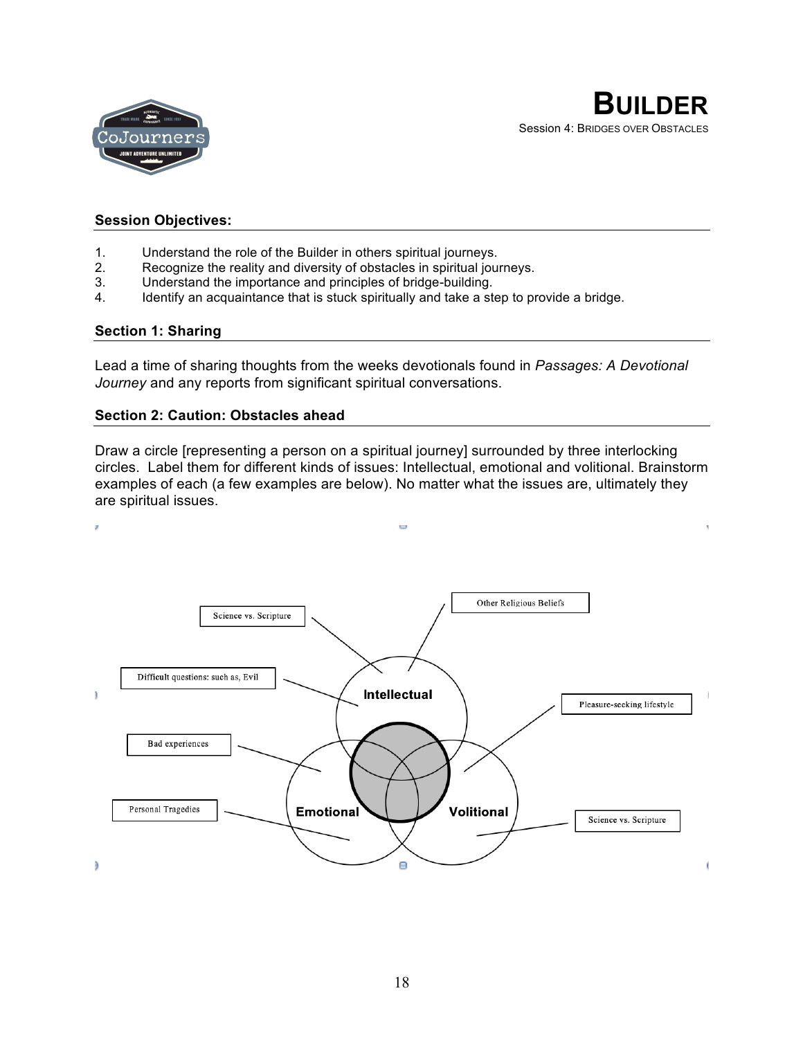

# **Session Objectives:**

- 1. Understand the role of the Builder in others spiritual journeys.
- 2. Recognize the reality and diversity of obstacles in spiritual journeys.
- 3. Understand the importance and principles of bridge-building.
- 4. Identify an acquaintance that is stuck spiritually and take a step to provide a bridge.

#### **Section 1: Sharing**

Lead a time of sharing thoughts from the weeks devotionals found in *Passages: A Devotional Journey* and any reports from significant spiritual conversations.

#### **Section 2: Caution: Obstacles ahead**

Draw a circle [representing a person on a spiritual journey] surrounded by three interlocking circles. Label them for different kinds of issues: Intellectual, emotional and volitional. Brainstorm examples of each (a few examples are below). No matter what the issues are, ultimately they are spiritual issues.

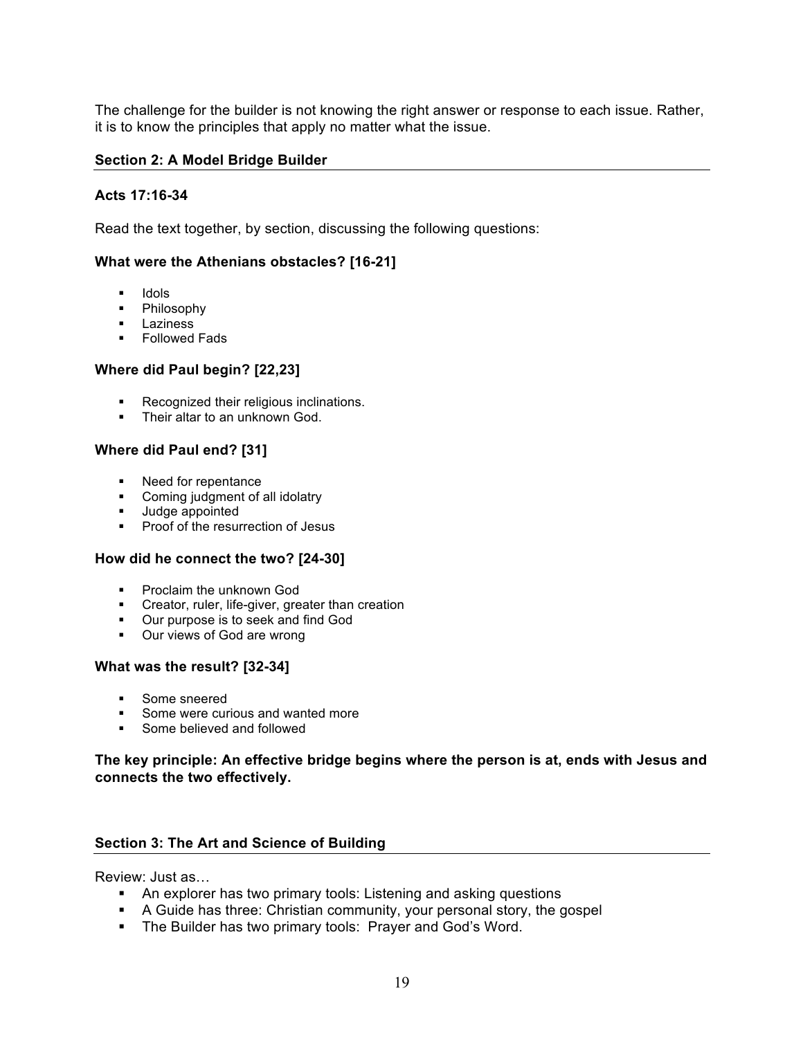The challenge for the builder is not knowing the right answer or response to each issue. Rather, it is to know the principles that apply no matter what the issue.

### **Section 2: A Model Bridge Builder**

# **Acts 17:16-34**

Read the text together, by section, discussing the following questions:

### **What were the Athenians obstacles? [16-21]**

- § Idols
- § Philosophy
- Laziness
- § Followed Fads

### **Where did Paul begin? [22,23]**

- Recognized their religious inclinations.
- Their altar to an unknown God.

# **Where did Paul end? [31]**

- Need for repentance
- § Coming judgment of all idolatry
- Judge appointed
- Proof of the resurrection of Jesus

# **How did he connect the two? [24-30]**

- § Proclaim the unknown God
- **•** Creator, ruler, life-giver, greater than creation
- § Our purpose is to seek and find God
- Our views of God are wrong

#### **What was the result? [32-34]**

- § Some sneered
- § Some were curious and wanted more
- Some believed and followed

# **The key principle: An effective bridge begins where the person is at, ends with Jesus and connects the two effectively.**

# **Section 3: The Art and Science of Building**

Review: Just as…

- An explorer has two primary tools: Listening and asking questions
- A Guide has three: Christian community, your personal story, the gospel
- The Builder has two primary tools: Prayer and God's Word.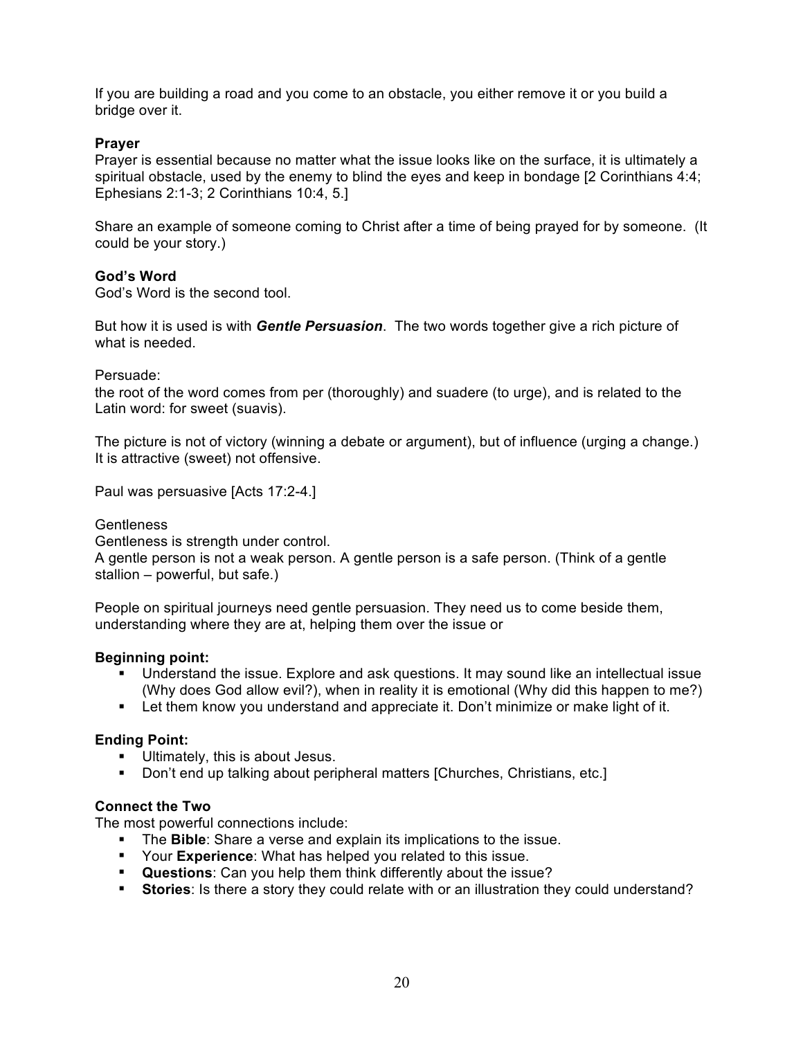If you are building a road and you come to an obstacle, you either remove it or you build a bridge over it.

# **Prayer**

Prayer is essential because no matter what the issue looks like on the surface, it is ultimately a spiritual obstacle, used by the enemy to blind the eyes and keep in bondage [2 Corinthians 4:4; Ephesians 2:1-3; 2 Corinthians 10:4, 5.]

Share an example of someone coming to Christ after a time of being prayed for by someone. (It could be your story.)

# **God's Word**

God's Word is the second tool.

But how it is used is with *Gentle Persuasion*. The two words together give a rich picture of what is needed.

Persuade:

the root of the word comes from per (thoroughly) and suadere (to urge), and is related to the Latin word: for sweet (suavis).

The picture is not of victory (winning a debate or argument), but of influence (urging a change.) It is attractive (sweet) not offensive.

Paul was persuasive [Acts 17:2-4.]

### **Gentleness**

Gentleness is strength under control.

A gentle person is not a weak person. A gentle person is a safe person. (Think of a gentle stallion – powerful, but safe.)

People on spiritual journeys need gentle persuasion. They need us to come beside them, understanding where they are at, helping them over the issue or

# **Beginning point:**

- § Understand the issue. Explore and ask questions. It may sound like an intellectual issue (Why does God allow evil?), when in reality it is emotional (Why did this happen to me?)
- Let them know you understand and appreciate it. Don't minimize or make light of it.

#### **Ending Point:**

- § Ultimately, this is about Jesus.
- Don't end up talking about peripheral matters [Churches, Christians, etc.]

### **Connect the Two**

The most powerful connections include:

- § The **Bible**: Share a verse and explain its implications to the issue.
- § Your **Experience**: What has helped you related to this issue.
- § **Questions**: Can you help them think differently about the issue?
- **Stories**: Is there a story they could relate with or an illustration they could understand?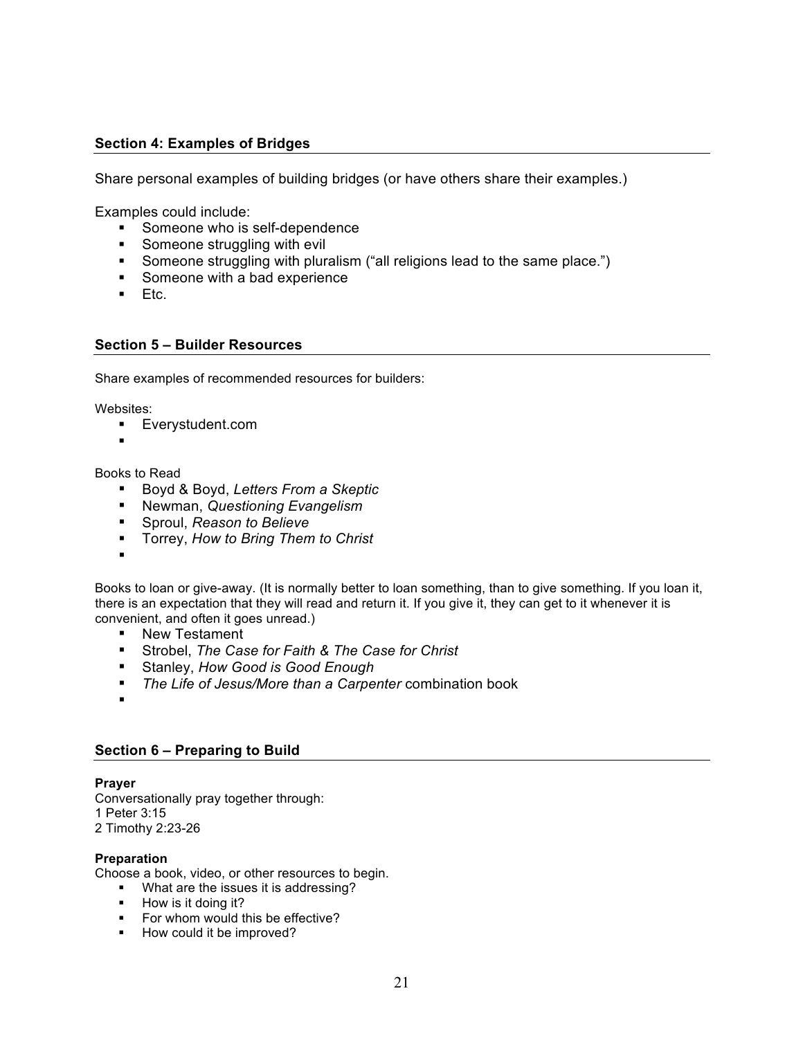# **Section 4: Examples of Bridges**

Share personal examples of building bridges (or have others share their examples.)

Examples could include:

- Someone who is self-dependence
- Someone struggling with evil
- Someone struggling with pluralism ("all religions lead to the same place.")
- Someone with a bad experience
- Etc.

### **Section 5 – Builder Resources**

Share examples of recommended resources for builders:

Websites:

- § Everystudent.com
- §

#### Books to Read

- § Boyd & Boyd, *Letters From a Skeptic*
- § Newman, *Questioning Evangelism*
- § Sproul, *Reason to Believe*
- § Torrey, *How to Bring Them to Christ*
- §

Books to loan or give-away. (It is normally better to loan something, than to give something. If you loan it, there is an expectation that they will read and return it. If you give it, they can get to it whenever it is convenient, and often it goes unread.)

- New Testament
- § Strobel, *The Case for Faith & The Case for Christ*
- § Stanley, *How Good is Good Enough*
- *The Life of Jesus/More than a Carpenter* combination book
- §

# **Section 6 – Preparing to Build**

#### **Prayer**

Conversationally pray together through: 1 Peter 3:15 2 Timothy 2:23-26

#### **Preparation**

Choose a book, video, or other resources to begin.

- What are the issues it is addressing?
- How is it doing it?
- For whom would this be effective?
- How could it be improved?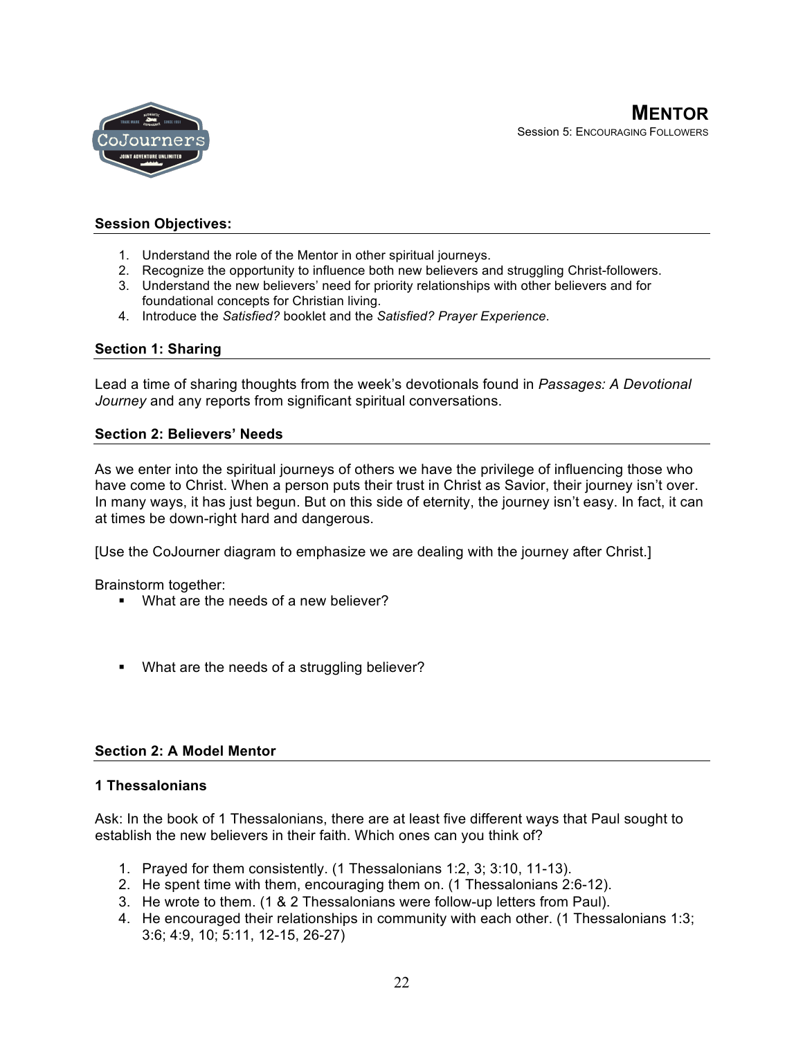

# **Session Objectives:**

- 1. Understand the role of the Mentor in other spiritual journeys.
- 2. Recognize the opportunity to influence both new believers and struggling Christ-followers.
- 3. Understand the new believers' need for priority relationships with other believers and for foundational concepts for Christian living.
- 4. Introduce the *Satisfied?* booklet and the *Satisfied? Prayer Experience*.

# **Section 1: Sharing**

Lead a time of sharing thoughts from the week's devotionals found in *Passages: A Devotional Journey* and any reports from significant spiritual conversations.

# **Section 2: Believers' Needs**

As we enter into the spiritual journeys of others we have the privilege of influencing those who have come to Christ. When a person puts their trust in Christ as Savior, their journey isn't over. In many ways, it has just begun. But on this side of eternity, the journey isn't easy. In fact, it can at times be down-right hard and dangerous.

[Use the CoJourner diagram to emphasize we are dealing with the journey after Christ.]

Brainstorm together:

- What are the needs of a new believer?
- What are the needs of a struggling believer?

# **Section 2: A Model Mentor**

# **1 Thessalonians**

Ask: In the book of 1 Thessalonians, there are at least five different ways that Paul sought to establish the new believers in their faith. Which ones can you think of?

- 1. Prayed for them consistently. (1 Thessalonians 1:2, 3; 3:10, 11-13).
- 2. He spent time with them, encouraging them on. (1 Thessalonians 2:6-12).
- 3. He wrote to them. (1 & 2 Thessalonians were follow-up letters from Paul).
- 4. He encouraged their relationships in community with each other. (1 Thessalonians 1:3; 3:6; 4:9, 10; 5:11, 12-15, 26-27)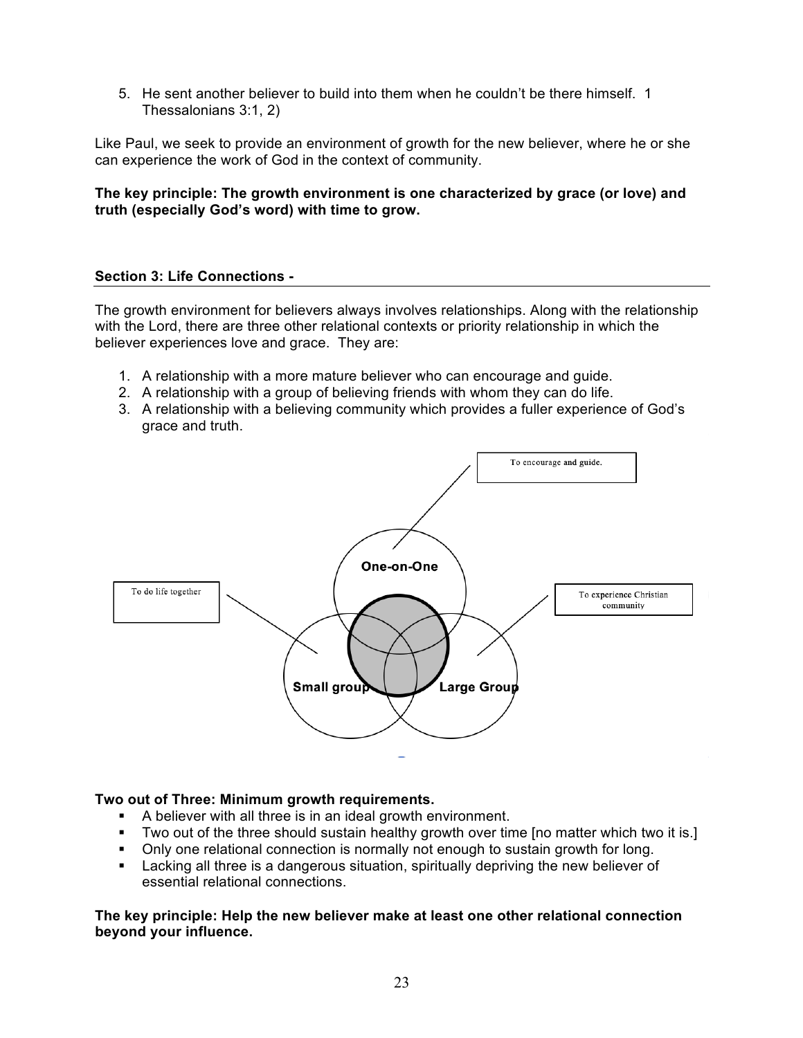5. He sent another believer to build into them when he couldn't be there himself. 1 Thessalonians 3:1, 2)

Like Paul, we seek to provide an environment of growth for the new believer, where he or she can experience the work of God in the context of community.

# **The key principle: The growth environment is one characterized by grace (or love) and truth (especially God's word) with time to grow.**

# **Section 3: Life Connections -**

The growth environment for believers always involves relationships. Along with the relationship with the Lord, there are three other relational contexts or priority relationship in which the believer experiences love and grace. They are:

- 1. A relationship with a more mature believer who can encourage and guide.
- 2. A relationship with a group of believing friends with whom they can do life.
- 3. A relationship with a believing community which provides a fuller experience of God's grace and truth.



# **Two out of Three: Minimum growth requirements.**

- § A believer with all three is in an ideal growth environment.
- § Two out of the three should sustain healthy growth over time [no matter which two it is.]
- Only one relational connection is normally not enough to sustain growth for long.
- **EXECT** Lacking all three is a dangerous situation, spiritually depriving the new believer of essential relational connections.

**The key principle: Help the new believer make at least one other relational connection beyond your influence.**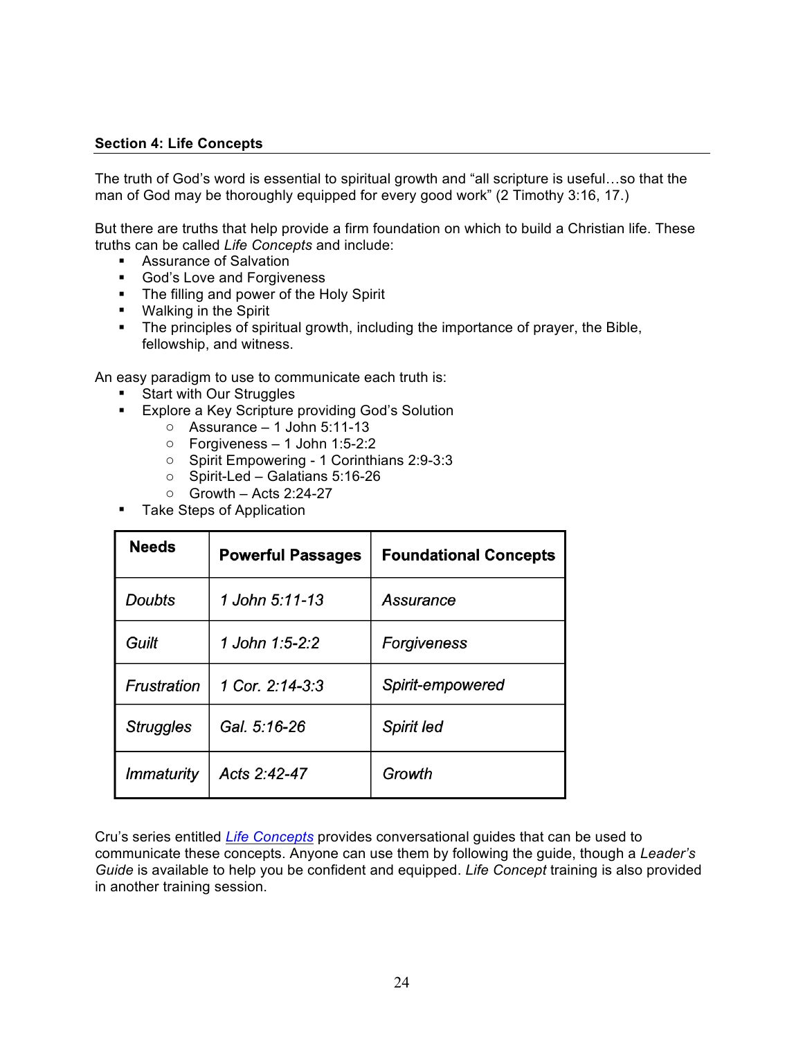# **Section 4: Life Concepts**

The truth of God's word is essential to spiritual growth and "all scripture is useful…so that the man of God may be thoroughly equipped for every good work" (2 Timothy 3:16, 17.)

But there are truths that help provide a firm foundation on which to build a Christian life. These truths can be called *Life Concepts* and include:

- Assurance of Salvation
- God's Love and Forgiveness
- § The filling and power of the Holy Spirit
- Walking in the Spirit
- The principles of spiritual growth, including the importance of prayer, the Bible, fellowship, and witness.

An easy paradigm to use to communicate each truth is:

- § Start with Our Struggles
- Explore a Key Scripture providing God's Solution
	- $\circ$  Assurance 1 John 5:11-13
	- o Forgiveness 1 John 1:5-2:2
	- o Spirit Empowering 1 Corinthians 2:9-3:3
	- o Spirit-Led Galatians 5:16-26
	- $\circ$  Growth Acts 2:24-27
- Take Steps of Application

| <b>Needs</b>      | <b>Powerful Passages</b> | <b>Foundational Concepts</b> |
|-------------------|--------------------------|------------------------------|
| <b>Doubts</b>     | 1 John 5:11-13           | Assurance                    |
| Guilt             | 1 John 1:5-2:2           | Forgiveness                  |
| Frustration       | 1 Cor. $2:14-3:3$        | Spirit-empowered             |
| <b>Struggles</b>  | Gal. 5:16-26             | <b>Spirit led</b>            |
| <i>Immaturity</i> | Acts 2:42-47             | Growth                       |

Cru's series entitled *Life Concepts* provides conversational guides that can be used to communicate these concepts. Anyone can use them by following the guide, though a *Leader's Guide* is available to help you be confident and equipped. *Life Concept* training is also provided in another training session.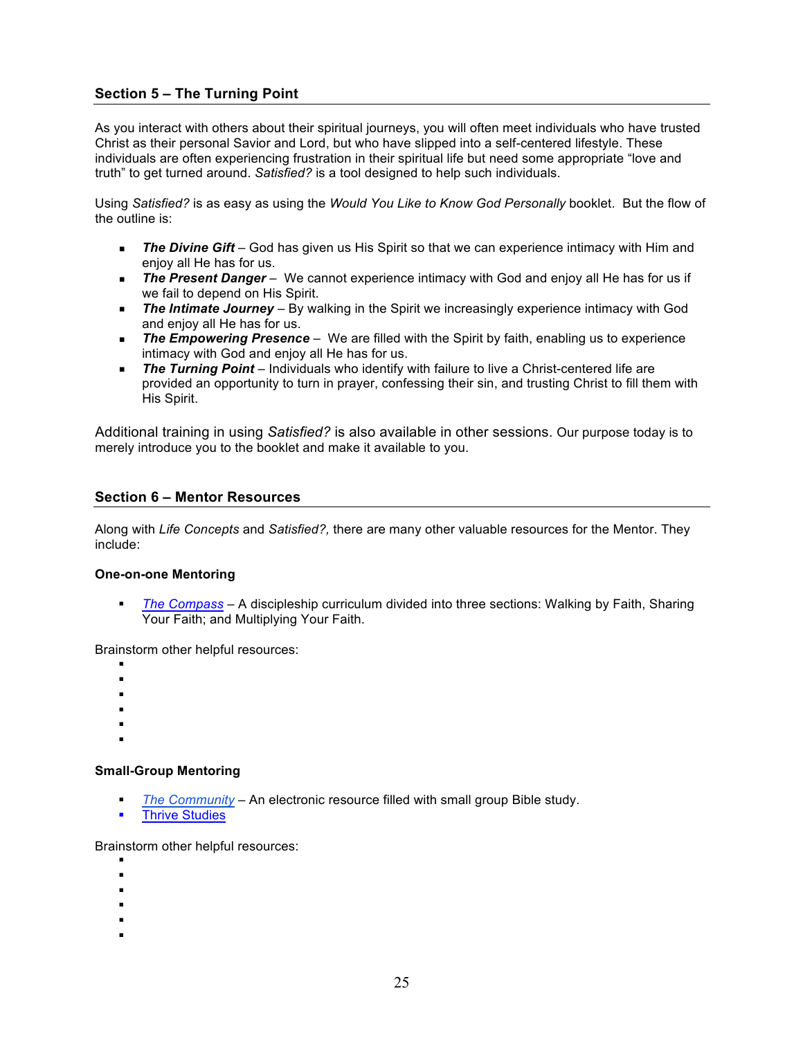# **Section 5 – The Turning Point**

As you interact with others about their spiritual journeys, you will often meet individuals who have trusted Christ as their personal Savior and Lord, but who have slipped into a self-centered lifestyle. These individuals are often experiencing frustration in their spiritual life but need some appropriate "love and truth" to get turned around. *Satisfied?* is a tool designed to help such individuals.

Using *Satisfied?* is as easy as using the *Would You Like to Know God Personally* booklet. But the flow of the outline is:

- § *The Divine Gift* God has given us His Spirit so that we can experience intimacy with Him and enjoy all He has for us.
- **The Present Danger** We cannot experience intimacy with God and enjoy all He has for us if we fail to depend on His Spirit.
- **•** The Intimate Journey By walking in the Spirit we increasingly experience intimacy with God and enjoy all He has for us.
- **The Empowering Presence** We are filled with the Spirit by faith, enabling us to experience intimacy with God and enjoy all He has for us.
- § *The Turning Point* Individuals who identify with failure to live a Christ-centered life are provided an opportunity to turn in prayer, confessing their sin, and trusting Christ to fill them with His Spirit.

Additional training in using *Satisfied?* is also available in other sessions. Our purpose today is to merely introduce you to the booklet and make it available to you.

### **Section 6 – Mentor Resources**

Along with *Life Concepts* and *Satisfied?,* there are many other valuable resources for the Mentor. They include:

#### **One-on-one Mentoring**

§ *The Compass* – A discipleship curriculum divided into three sections: Walking by Faith, Sharing Your Faith; and Multiplying Your Faith.

Brainstorm other helpful resources:

- §
- §
- §
- §
- §
- §

#### **Small-Group Mentoring**

- § *The Community* An electronic resource filled with small group Bible study.
- § Thrive Studies

Brainstorm other helpful resources:

- §
- §
- §
- §
- §
- §